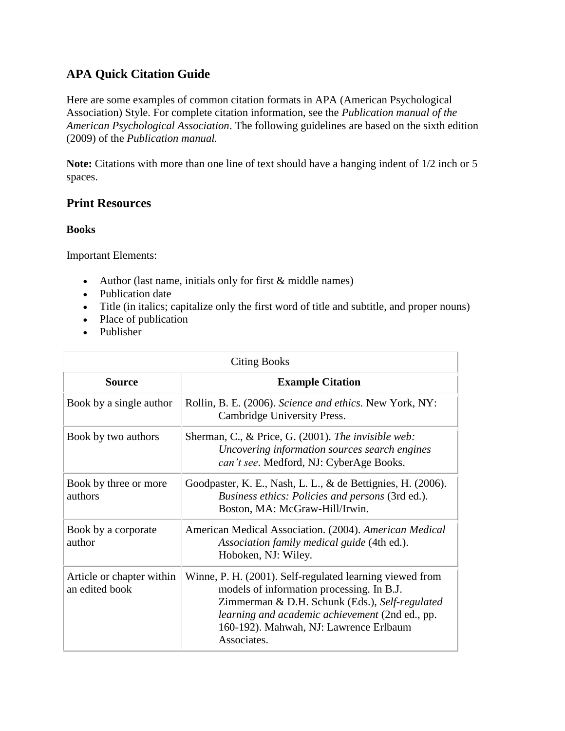# **APA Quick Citation Guide**

Here are some examples of common citation formats in APA (American Psychological Association) Style. For complete citation information, see the *Publication manual of the American Psychological Association*. The following guidelines are based on the sixth edition (2009) of the *Publication manual.*

**Note:** Citations with more than one line of text should have a hanging indent of 1/2 inch or 5 spaces.

## **Print Resources**

#### **Books**

Important Elements:

- Author (last name, initials only for first  $&$  middle names)
- Publication date
- Title (in italics; capitalize only the first word of title and subtitle, and proper nouns)
- Place of publication
- Publisher

| <b>Citing Books</b>                         |                                                                                                                                                                                                                                                                     |
|---------------------------------------------|---------------------------------------------------------------------------------------------------------------------------------------------------------------------------------------------------------------------------------------------------------------------|
| <b>Source</b>                               | <b>Example Citation</b>                                                                                                                                                                                                                                             |
| Book by a single author                     | Rollin, B. E. (2006). Science and ethics. New York, NY:<br>Cambridge University Press.                                                                                                                                                                              |
| Book by two authors                         | Sherman, C., & Price, G. (2001). The invisible web:<br>Uncovering information sources search engines<br>can't see. Medford, NJ: CyberAge Books.                                                                                                                     |
| Book by three or more<br>authors            | Goodpaster, K. E., Nash, L. L., & de Bettignies, H. (2006).<br>Business ethics: Policies and persons (3rd ed.).<br>Boston, MA: McGraw-Hill/Irwin.                                                                                                                   |
| Book by a corporate<br>author               | American Medical Association. (2004). American Medical<br>Association family medical guide (4th ed.).<br>Hoboken, NJ: Wiley.                                                                                                                                        |
| Article or chapter within<br>an edited book | Winne, P. H. (2001). Self-regulated learning viewed from<br>models of information processing. In B.J.<br>Zimmerman & D.H. Schunk (Eds.), Self-regulated<br>learning and academic achievement (2nd ed., pp.<br>160-192). Mahwah, NJ: Lawrence Erlbaum<br>Associates. |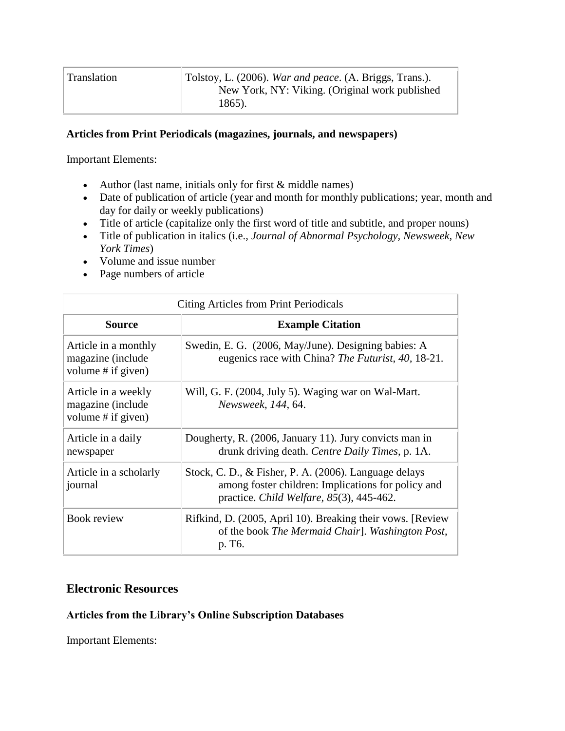| Tolstoy, L. (2006). War and peace. (A. Briggs, Trans.).<br>Translation<br>New York, NY: Viking. (Original work published<br>1865). |  |
|------------------------------------------------------------------------------------------------------------------------------------|--|
|------------------------------------------------------------------------------------------------------------------------------------|--|

#### **Articles from Print Periodicals (magazines, journals, and newspapers)**

Important Elements:

- Author (last name, initials only for first  $&$  middle names)
- Date of publication of article (year and month for monthly publications; year, month and day for daily or weekly publications)
- Title of article (capitalize only the first word of title and subtitle, and proper nouns)
- Title of publication in italics (i.e., *Journal of Abnormal Psychology, Newsweek, New York Times*)
- Volume and issue number
- Page numbers of article

| Citing Articles from Print Periodicals                          |                                                                                                                                                            |
|-----------------------------------------------------------------|------------------------------------------------------------------------------------------------------------------------------------------------------------|
| <b>Source</b>                                                   | <b>Example Citation</b>                                                                                                                                    |
| Article in a monthly<br>magazine (include<br>volume # if given) | Swedin, E. G. (2006, May/June). Designing babies: A<br>eugenics race with China? The Futurist, 40, 18-21.                                                  |
| Article in a weekly<br>magazine (include<br>volume # if given)  | Will, G. F. (2004, July 5). Waging war on Wal-Mart.<br>Newsweek, 144, 64.                                                                                  |
| Article in a daily<br>newspaper                                 | Dougherty, R. (2006, January 11). Jury convicts man in<br>drunk driving death. Centre Daily Times, p. 1A.                                                  |
| Article in a scholarly<br>journal                               | Stock, C. D., & Fisher, P. A. (2006). Language delays<br>among foster children: Implications for policy and<br>practice. Child Welfare, $85(3)$ , 445-462. |
| Book review                                                     | Rifkind, D. (2005, April 10). Breaking their vows. [Review]<br>of the book The Mermaid Chair]. Washington Post,<br>p. T <sub>6</sub> .                     |

### **Electronic Resources**

#### **Articles from the Library's Online Subscription Databases**

Important Elements: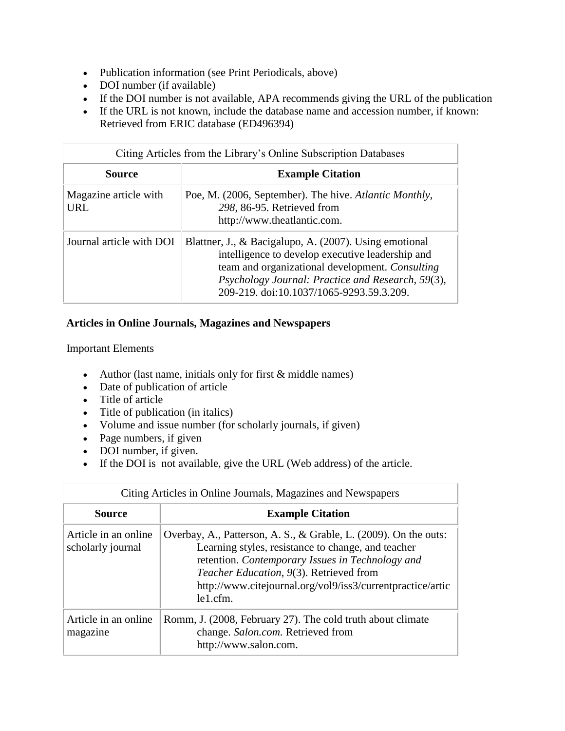- Publication information (see Print Periodicals, above)
- DOI number (if available)
- If the DOI number is not available, APA recommends giving the URL of the publication
- If the URL is not known, include the database name and accession number, if known: Retrieved from ERIC database (ED496394)

| Citing Articles from the Library's Online Subscription Databases |                                                                                                                                                                                                                                                                |
|------------------------------------------------------------------|----------------------------------------------------------------------------------------------------------------------------------------------------------------------------------------------------------------------------------------------------------------|
| Source                                                           | <b>Example Citation</b>                                                                                                                                                                                                                                        |
| Magazine article with<br>URL                                     | Poe, M. (2006, September). The hive. Atlantic Monthly,<br>298, 86-95. Retrieved from<br>http://www.theatlantic.com.                                                                                                                                            |
| Journal article with DOI                                         | Blattner, J., & Bacigalupo, A. (2007). Using emotional<br>intelligence to develop executive leadership and<br>team and organizational development. Consulting<br>Psychology Journal: Practice and Research, 59(3),<br>209-219. doi:10.1037/1065-9293.59.3.209. |

## **Articles in Online Journals, Magazines and Newspapers**

Important Elements

- Author (last name, initials only for first  $&$  middle names)
- Date of publication of article
- Title of article
- Title of publication (in italics)
- Volume and issue number (for scholarly journals, if given)
- Page numbers, if given
- DOI number, if given.
- If the DOI is not available, give the URL (Web address) of the article.

| Citing Articles in Online Journals, Magazines and Newspapers |                                                                                                                                                                                                                                                                                                 |
|--------------------------------------------------------------|-------------------------------------------------------------------------------------------------------------------------------------------------------------------------------------------------------------------------------------------------------------------------------------------------|
| Source                                                       | <b>Example Citation</b>                                                                                                                                                                                                                                                                         |
| Article in an online.<br>scholarly journal                   | Overbay, A., Patterson, A. S., & Grable, L. (2009). On the outs:<br>Learning styles, resistance to change, and teacher<br>retention. Contemporary Issues in Technology and<br>Teacher Education, 9(3). Retrieved from<br>http://www.citejournal.org/vol9/iss3/currentpractice/artic<br>le1.cfm. |
| Article in an online<br>magazine                             | Romm, J. (2008, February 27). The cold truth about climate<br>change. Salon.com. Retrieved from<br>http://www.salon.com.                                                                                                                                                                        |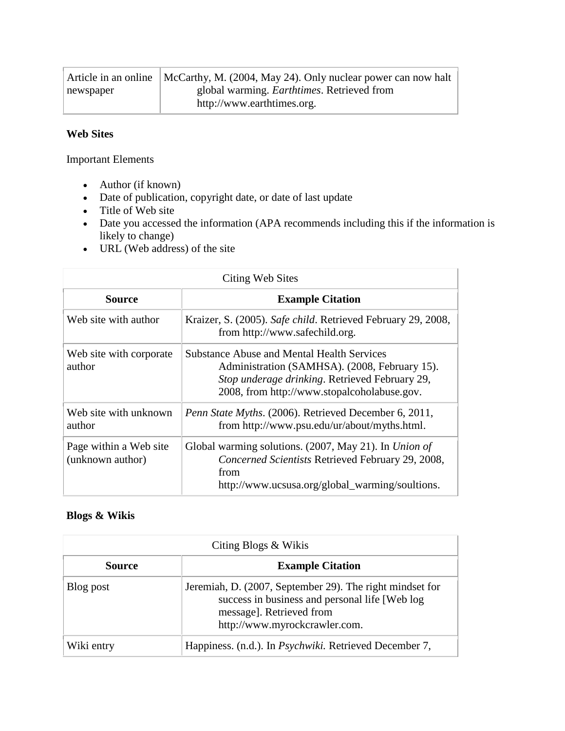|           | Article in an online   McCarthy, M. (2004, May 24). Only nuclear power can now halt |
|-----------|-------------------------------------------------------------------------------------|
| newspaper | global warming. <i>Earthtimes</i> . Retrieved from                                  |
|           | http://www.earthtimes.org.                                                          |

### **Web Sites**

Important Elements

- Author (if known)
- Date of publication, copyright date, or date of last update
- $\bullet$  Title of Web site
- Date you accessed the information (APA recommends including this if the information is likely to change)
- URL (Web address) of the site

| Citing Web Sites                           |                                                                                                                                                                                                     |
|--------------------------------------------|-----------------------------------------------------------------------------------------------------------------------------------------------------------------------------------------------------|
| <b>Source</b>                              | <b>Example Citation</b>                                                                                                                                                                             |
| Web site with author                       | Kraizer, S. (2005). Safe child. Retrieved February 29, 2008,<br>from http://www.safechild.org.                                                                                                      |
| Web site with corporate.<br>author         | <b>Substance Abuse and Mental Health Services</b><br>Administration (SAMHSA). (2008, February 15).<br>Stop underage drinking. Retrieved February 29,<br>2008, from http://www.stopalcoholabuse.gov. |
| Web site with unknown<br>author            | Penn State Myths. (2006). Retrieved December 6, 2011,<br>from http://www.psu.edu/ur/about/myths.html.                                                                                               |
| Page within a Web site<br>(unknown author) | Global warming solutions. (2007, May 21). In <i>Union of</i><br>Concerned Scientists Retrieved February 29, 2008,<br>from<br>http://www.ucsusa.org/global_warming/soultions.                        |

### **Blogs & Wikis**

| Citing Blogs & Wikis |                                                                                                                                                                          |
|----------------------|--------------------------------------------------------------------------------------------------------------------------------------------------------------------------|
| Source               | <b>Example Citation</b>                                                                                                                                                  |
| Blog post            | Jeremiah, D. (2007, September 29). The right mindset for<br>success in business and personal life [Web log]<br>message]. Retrieved from<br>http://www.myrockcrawler.com. |
| Wiki entry           | Happiness. (n.d.). In <i>Psychwiki</i> . Retrieved December 7,                                                                                                           |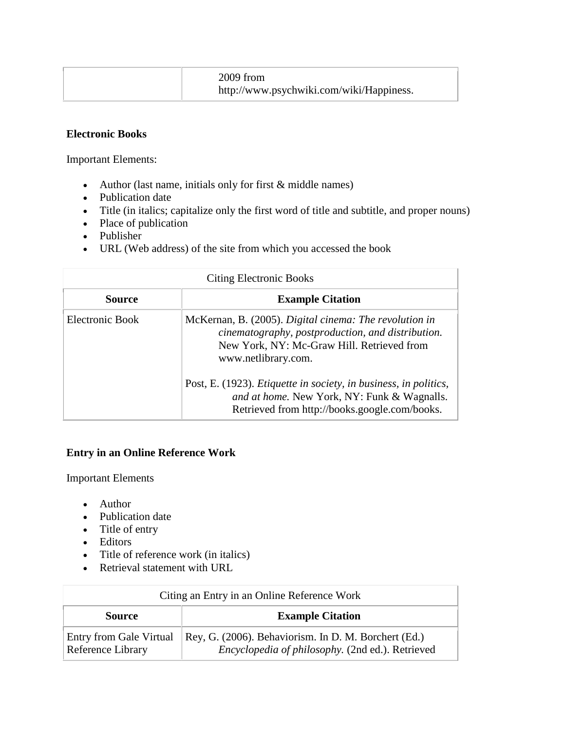| $2009$ from<br>http://www.psychwiki.com/wiki/Happiness. |  |
|---------------------------------------------------------|--|
|---------------------------------------------------------|--|

#### **Electronic Books**

Important Elements:

- Author (last name, initials only for first  $&$  middle names)
- Publication date
- Title (in italics; capitalize only the first word of title and subtitle, and proper nouns)
- Place of publication
- Publisher
- URL (Web address) of the site from which you accessed the book

| <b>Citing Electronic Books</b> |                                                                                                                                                                                  |
|--------------------------------|----------------------------------------------------------------------------------------------------------------------------------------------------------------------------------|
| <b>Source</b>                  | <b>Example Citation</b>                                                                                                                                                          |
| Electronic Book                | McKernan, B. (2005). Digital cinema: The revolution in<br>cinematography, postproduction, and distribution.<br>New York, NY: Mc-Graw Hill. Retrieved from<br>www.netlibrary.com. |
|                                | Post, E. (1923). <i>Etiquette in society, in business, in politics,</i><br>and at home. New York, NY: Funk & Wagnalls.<br>Retrieved from http://books.google.com/books.          |

### **Entry in an Online Reference Work**

Important Elements

- Author
- Publication date
- Title of entry
- Editors
- Title of reference work (in italics)
- Retrieval statement with URL

| Citing an Entry in an Online Reference Work  |                                                                                                          |
|----------------------------------------------|----------------------------------------------------------------------------------------------------------|
| <b>Source</b>                                | <b>Example Citation</b>                                                                                  |
| Entry from Gale Virtual<br>Reference Library | Rey, G. (2006). Behaviorism. In D. M. Borchert (Ed.)<br>Encyclopedia of philosophy. (2nd ed.). Retrieved |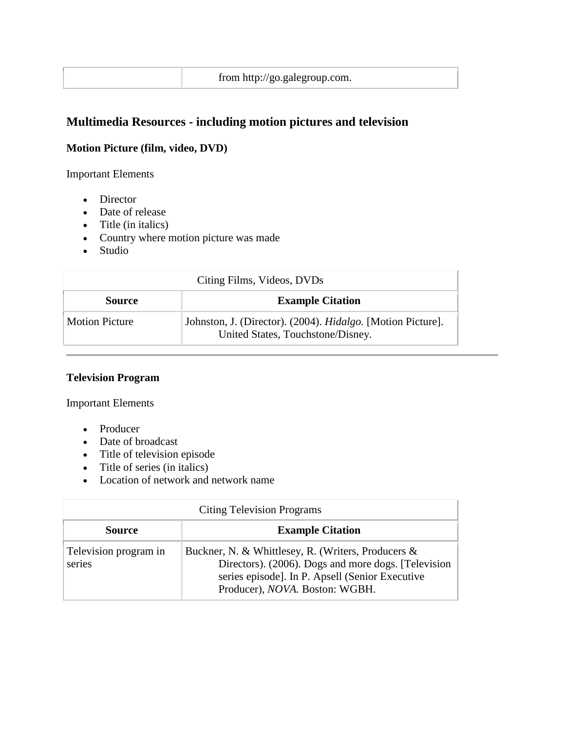# **Multimedia Resources - including motion pictures and television**

## **Motion Picture (film, video, DVD)**

Important Elements

- Director
- Date of release
- $\bullet$  Title (in italics)
- Country where motion picture was made
- Studio

| Citing Films, Videos, DVDs |                                                                                                  |  |
|----------------------------|--------------------------------------------------------------------------------------------------|--|
| <b>Source</b>              | <b>Example Citation</b>                                                                          |  |
| <b>Motion Picture</b>      | Johnston, J. (Director). (2004). Hidalgo. [Motion Picture].<br>United States, Touchstone/Disney. |  |

## **Television Program**

Important Elements

- Producer
- Date of broadcast
- Title of television episode
- Title of series (in italics)
- Location of network and network name

| <b>Citing Television Programs</b> |                                                                                                                                                                                                        |  |
|-----------------------------------|--------------------------------------------------------------------------------------------------------------------------------------------------------------------------------------------------------|--|
| <b>Source</b>                     | <b>Example Citation</b>                                                                                                                                                                                |  |
| Television program in<br>series   | Buckner, N. & Whittlesey, R. (Writers, Producers &<br>Directors). (2006). Dogs and more dogs. [Television<br>series episode]. In P. Apsell (Senior Executive<br>Producer), <i>NOVA</i> . Boston: WGBH. |  |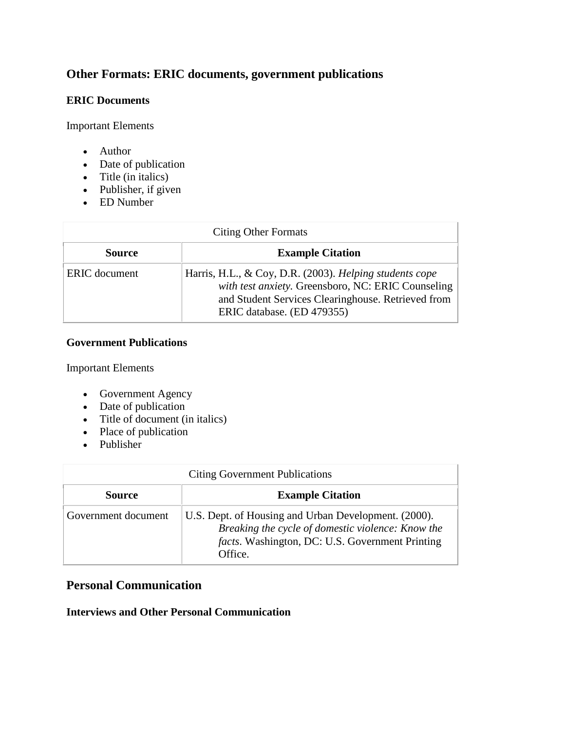# **Other Formats: ERIC documents, government publications**

#### **ERIC Documents**

Important Elements

- Author
- Date of publication
- Title (in italics)
- Publisher, if given
- ED Number

| <b>Citing Other Formats</b> |                                                                                                                                                                                                   |  |
|-----------------------------|---------------------------------------------------------------------------------------------------------------------------------------------------------------------------------------------------|--|
| <b>Source</b>               | <b>Example Citation</b>                                                                                                                                                                           |  |
| <b>ERIC</b> document        | Harris, H.L., & Coy, D.R. (2003). Helping students cope<br>with test anxiety. Greensboro, NC: ERIC Counseling<br>and Student Services Clearinghouse. Retrieved from<br>ERIC database. (ED 479355) |  |

### **Government Publications**

Important Elements

- Government Agency
- Date of publication
- Title of document (in italics)
- Place of publication
- Publisher

| <b>Citing Government Publications</b> |                                                                                                                                                                                 |  |
|---------------------------------------|---------------------------------------------------------------------------------------------------------------------------------------------------------------------------------|--|
| <b>Source</b>                         | <b>Example Citation</b>                                                                                                                                                         |  |
| Government document                   | U.S. Dept. of Housing and Urban Development. (2000).<br>Breaking the cycle of domestic violence: Know the<br><i>facts</i> . Washington, DC: U.S. Government Printing<br>Office. |  |

# **Personal Communication**

### **Interviews and Other Personal Communication**